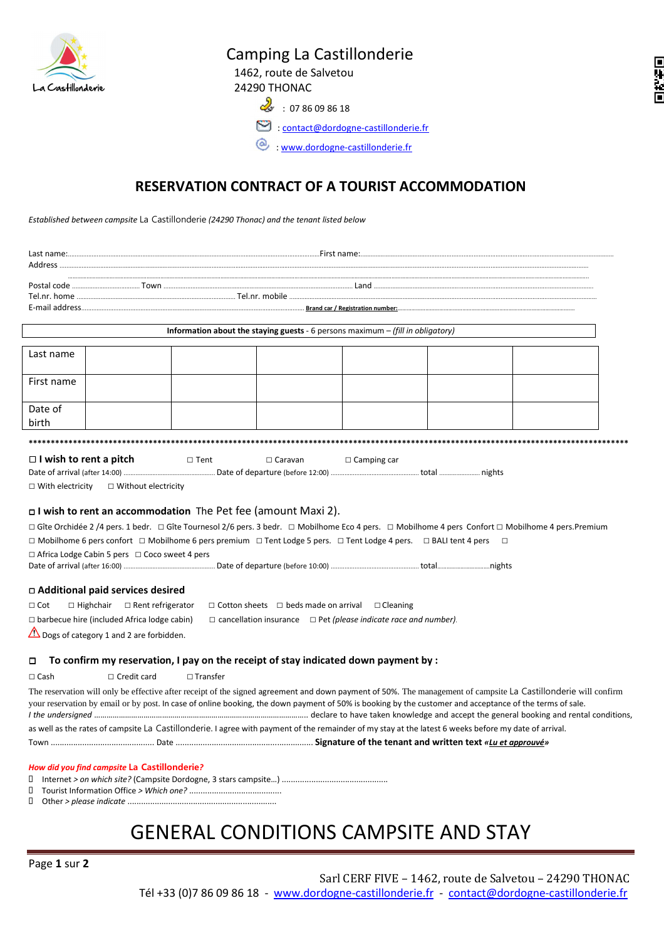

## Camping La Castillonderie

 1462, route de Salvetou 24290 THONAC

同等的同

 $\mathcal{Q}_{3}$ : 07 86 09 86 18

 $\bullet$  : contact@dordogne-castillonderie.fr

: www.dordogne-castillonderie.fr

## **RESERVATION CONTRACT OF A TOURIST ACCOMMODATION**

*Established between campsite* La Castillonderie *(24290 Thonac) and the tenant listed below* 

| <b>Information about the staying guests</b> - 6 persons maximum $-$ (fill in obligatory)                                                                                                                 |                    |                                                                                                                                                          |  |  |  |                                                                                                                                                                 |  |
|----------------------------------------------------------------------------------------------------------------------------------------------------------------------------------------------------------|--------------------|----------------------------------------------------------------------------------------------------------------------------------------------------------|--|--|--|-----------------------------------------------------------------------------------------------------------------------------------------------------------------|--|
| Last name                                                                                                                                                                                                |                    |                                                                                                                                                          |  |  |  |                                                                                                                                                                 |  |
| First name                                                                                                                                                                                               |                    |                                                                                                                                                          |  |  |  |                                                                                                                                                                 |  |
| Date of<br>birth                                                                                                                                                                                         |                    |                                                                                                                                                          |  |  |  |                                                                                                                                                                 |  |
|                                                                                                                                                                                                          |                    |                                                                                                                                                          |  |  |  |                                                                                                                                                                 |  |
| $\Box$ I wish to rent a pitch<br>$\Box$ Tent<br>$\Box$ Camping car<br>$\Box$ Caravan<br>$\Box$ Without electricity<br>$\Box$ With electricity                                                            |                    |                                                                                                                                                          |  |  |  |                                                                                                                                                                 |  |
| I wish to rent an accommodation The Pet fee (amount Maxi 2).                                                                                                                                             |                    |                                                                                                                                                          |  |  |  |                                                                                                                                                                 |  |
| □ Gîte Orchidée 2 /4 pers. 1 bedr. □ Gîte Tournesol 2/6 pers. 3 bedr. □ Mobilhome Eco 4 pers. □ Mobilhome 4 pers Confort □ Mobilhome 4 pers.Premium                                                      |                    |                                                                                                                                                          |  |  |  |                                                                                                                                                                 |  |
| $\Box$ Mobilhome 6 pers confort $\Box$ Mobilhome 6 pers premium $\Box$ Tent Lodge 5 pers. $\Box$ Tent Lodge 4 pers. $\Box$ BALI tent 4 pers<br>$\Box$ Africa Lodge Cabin 5 pers $\Box$ Coco sweet 4 pers |                    |                                                                                                                                                          |  |  |  |                                                                                                                                                                 |  |
|                                                                                                                                                                                                          |                    |                                                                                                                                                          |  |  |  |                                                                                                                                                                 |  |
|                                                                                                                                                                                                          |                    |                                                                                                                                                          |  |  |  |                                                                                                                                                                 |  |
| □ Additional paid services desired<br>$\Box$ Cot<br>$\Box$ Highchair $\Box$ Rent refrigerator<br>$\Box$ Cotton sheets $\Box$ beds made on arrival $\Box$ Cleaning                                        |                    |                                                                                                                                                          |  |  |  |                                                                                                                                                                 |  |
| $\Box$ barbecue hire (included Africa lodge cabin)<br>$\Box$ cancellation insurance $\Box$ Pet (please indicate race and number).                                                                        |                    |                                                                                                                                                          |  |  |  |                                                                                                                                                                 |  |
| Dogs of category 1 and 2 are forbidden.                                                                                                                                                                  |                    |                                                                                                                                                          |  |  |  |                                                                                                                                                                 |  |
|                                                                                                                                                                                                          |                    |                                                                                                                                                          |  |  |  |                                                                                                                                                                 |  |
| To confirm my reservation, I pay on the receipt of stay indicated down payment by :<br>$\Box$                                                                                                            |                    |                                                                                                                                                          |  |  |  |                                                                                                                                                                 |  |
| $\Box$ Cash                                                                                                                                                                                              | $\Box$ Credit card | $\Box$ Transfer                                                                                                                                          |  |  |  |                                                                                                                                                                 |  |
|                                                                                                                                                                                                          |                    | your reservation by email or by post. In case of online booking, the down payment of 50% is booking by the customer and acceptance of the terms of sale. |  |  |  | The reservation will only be effective after receipt of the signed agreement and down payment of 50%. The management of campsite La Castillonderie will confirm |  |
| as well as the rates of campsite La Castillonderie. I agree with payment of the remainder of my stay at the latest 6 weeks before my date of arrival.                                                    |                    |                                                                                                                                                          |  |  |  |                                                                                                                                                                 |  |
|                                                                                                                                                                                                          |                    |                                                                                                                                                          |  |  |  |                                                                                                                                                                 |  |
|                                                                                                                                                                                                          |                    |                                                                                                                                                          |  |  |  |                                                                                                                                                                 |  |
| How did you find campsite La Castillonderie?<br>0                                                                                                                                                        |                    |                                                                                                                                                          |  |  |  |                                                                                                                                                                 |  |
|                                                                                                                                                                                                          |                    |                                                                                                                                                          |  |  |  |                                                                                                                                                                 |  |

-Other *> please indicate* ..................................................................

## GENERAL CONDITIONS CAMPSITE AND STAY

Page **1** sur **2**